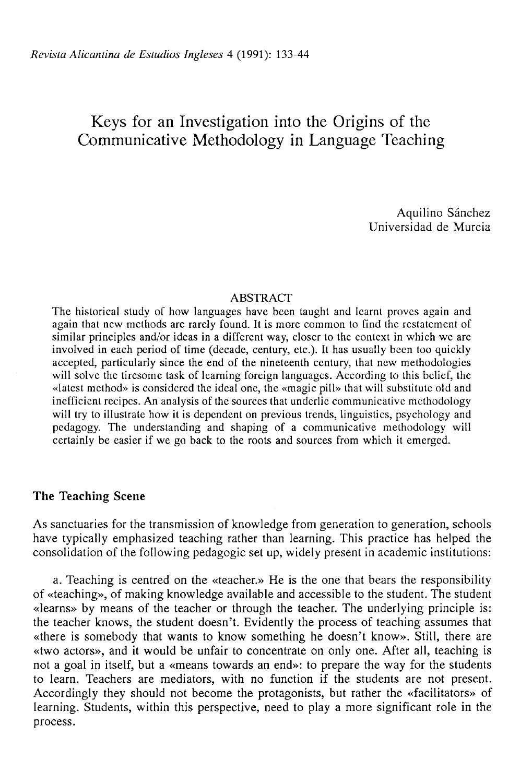# Keys for an Investigation into the Origins *oí* the Communicative Methodology in Language Teaching

Aquilino Sánchez Universidad de Murcia

#### ABSTRACT

The historical study of how languages have been laught and lcarnt provcs again and again that ncw mcthods are rarely found. It is more common to find the restatemcnt of similar principles and/or ideas in a different way, closer to the context in which we are involved in each period of time (decade, century, etc.). It has usually been too quickly accepted, particularly since the end of the nineleenth century, that ncw methodologies will solve the tiresomc lask of learning foreign languages. According to this belief, the «latest method» is considered the ideal one, the «magic pill» that will substitute old and inefficicnt recipes. An analysis of the sources that underlie communicative methodology will try to illustrate how it is dependent on previous trends, linguistics, psychology and pedagogy. The understanding and shaping of a communicative methodology will certainly be easier if we go back to the roots and sources from which it emerged.

## **The Teaching Scene**

As sanctuaries for the transmission of knowledge from generation to generation, schools have typically emphasized teaching rather than learning. This practice has helped the consolidation of the following pedagogic set up, widely present in academic institutions:

a. Teaching is centred on the «teacher.» He is the one that bears the responsibility of «teaching», of making knowledge available and accessible to the student. The student «learns» by means of the teacher or through the teacher. The underlying principie is: the teacher knows, the student doesn't. Evidently the process of teaching assumes that «there is somebody that wants to know something he doesn't know». Still, there are «two actors», and it would be unfair to concentrate on only one. After all, teaching is not a goal in itself, but a «means towards an end»: to prepare the way for the students to learn. Teachers are mediators, with no function if the students are not present. Accordingly they should not become the protagonists, but rather the «facilitators» of learning. Students, within this perspective, need to play a more significant role in the process.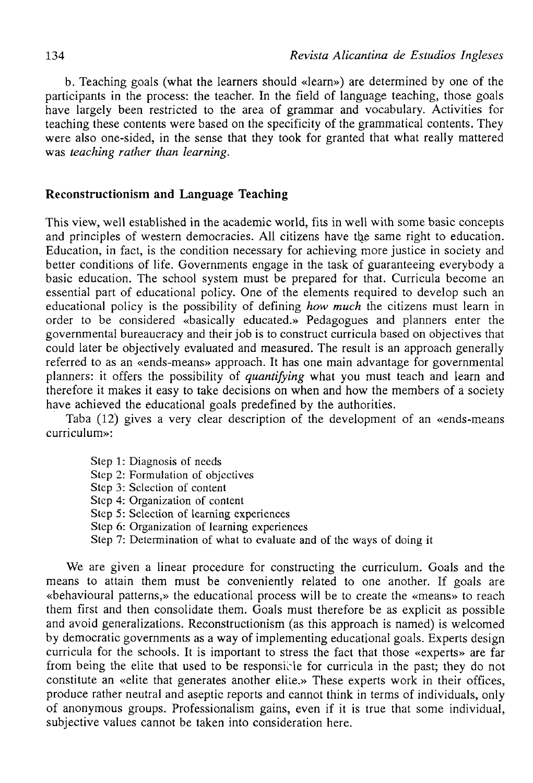b. Teaching goals (what the learners should «learn») are determined by one of the participaras in the process: the teacher. In the field of language teaching, those goals have largely been restricted to the area of grammar and vocabulary. Activities for teaching these contents were based on the specificity of the grammatical contents. They were also one-sided, in the sense that they took for granted that what really mattered was *teaching rather than learning.* 

# **Reconstructionism and Language Teaching**

This view, well established in the academic world, fits in well with some basic concepts and principles of western democracies. All citizens have the same right to education. Education, in fact, is the condition necessary for achieving more justice in society and better conditions of life. Governments engage in the task of guaranteeing everybody a basic education. The school system must be prepared for that. Curricula become an essential part of educational policy. One of the elements required to develop such an educational policy is the possibility of defining *how much* the citizens must learn in order to be considered «basically educated.» Pedagogues and planners enter the governmental bureaucracy and their job is to construct curricula based on objectives that could later be objectively evaluated and measured. The result is an approach generally referred to as an «ends-means» approach. It has one main advantage for governmental planners: it offers the possibility of *quantifying* what you must teach and learn and therefore it makes it easy to take decisions on when and how the members of a society have achieved the educational goals predefined by the authorities.

Taba (12) gives a very clear description of the development of an «ends-means curriculum»:

- Step 1: Diagnosis of needs
- Step 2: Formulation of objectives
- Step 3: Sclection of contení
- Step 4: Organization of content
- Step 5: Sclection of learning experiences
- Step 6: Organization of learning experiences
- Step 7: Determination of what to evaluate and of the ways of doing it

We are given a linear procedure for constructing the curriculum. Goals and the means to attain them must be conveniently related to one another. If goals are «behavioural patterns,» the educational process will be to create the «means» to reach them first and then consolídate them. Goals must therefore be as explicit as possible and avoid generalizations. Reconstructionism (as this approach is named) is welcomed by democratic governments as a way of implementing educational goals. Experts design curricula for the schools. It is important to stress the fact that those «experts» are far from being the elite that used to be responsible for curricula in the past; they do not constitute an «elite that generates another elite.» These experts work in their offices, produce rather neutral and aseptic reports and cannot think in terms of individuals, only of anonymous groups. Professionalism gains, even if it is true that some individual, subjective values cannot be taken into consideration here.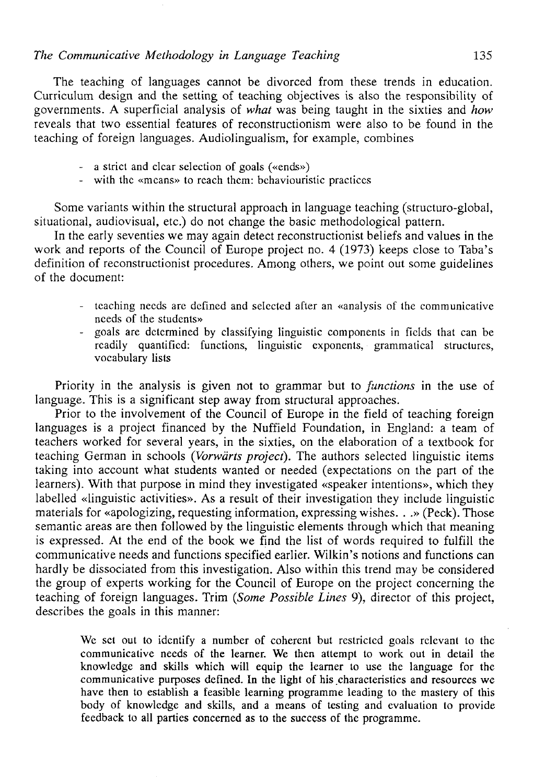The teaching of languages cannot be divorced from these trends in education. Curriculum design and the setting of teaching objectives is also the responsibility of governments. A superficial analysis of *what* was being taught in the sixties and *how*  reveáis that two essential features of reconstructionism were also to be found in the teaching of foreign languages. Audiolingualism, for example, combines

- a strict and clcar selection of goals («ends»)
- with the «mcans» to reach thcm: behaviouristic practiecs

Some variants within the structural approach in language teaching (structuro-global, situational, audiovisual, etc.) do not change the basic methodological pattern.

In the early seventies we may again detect reconstructionist beliefs and values in the work and reports of the Council of Europe project no. 4 (1973) keeps close to Taba's definition of reconstructionist procedures. Among others, we point out some guidelines of the document:

- teaching necds are defined and selected after an «analysis of the communicative needs of the students»
- goals are determined by classifying linguistic components in fields that can be readily quantified: functions, linguistic exponents, grammatical structures, vocabulary lists

Priority in the analysis is given not to grammar but to *functions* in the use of language. This is a significant step away from structural approaches.

Prior to the involvement of the Council of Europe in the field of teaching foreign languages is a project financed by the Nuffield Foundation, in England: a team of teachers worked for several years, in the sixties, on the elaboration of a textbook for teaching Germán in schools *(Vorwárts project).* The authors selected linguistic items taking into account what students wanted or needed (expectations on the part of the learners). With that purpose in mind they investigated «speaker intentions», which they labelled «linguistic activities». As a result of their investigation they include linguistic materials for «apologizing, requesting information, expressing wishes. . .» (Peck). Those semantic áreas are then followed by the linguistic elements through which that meaning is expressed. At the end of the book we find the list of words required to fulfill the communicative needs and functions specified earlier. Wilkin's notions and functions can hardly be dissociated from this investigation. Also within this trend may be considered the group of experts working for the Council of Europe on the project concerning the teaching of foreign languages. Trim *(Some Possible Lines* 9), director of this project, describes the goals in this manner:

We set out to identify a number of coherent but restricted goals relevant to the communicative needs of the learner. We then attempt to work out in detail the knowledge and skills which will equip the learner to use the language for the communicative purposes defined. In the light of his characteristics and resources we have then to establish a feasible learning programme leading to the mastery of this body of knowledge and skills, and a means of testing and evaluation to provide feedback to all parties concerned as to the success of the programme.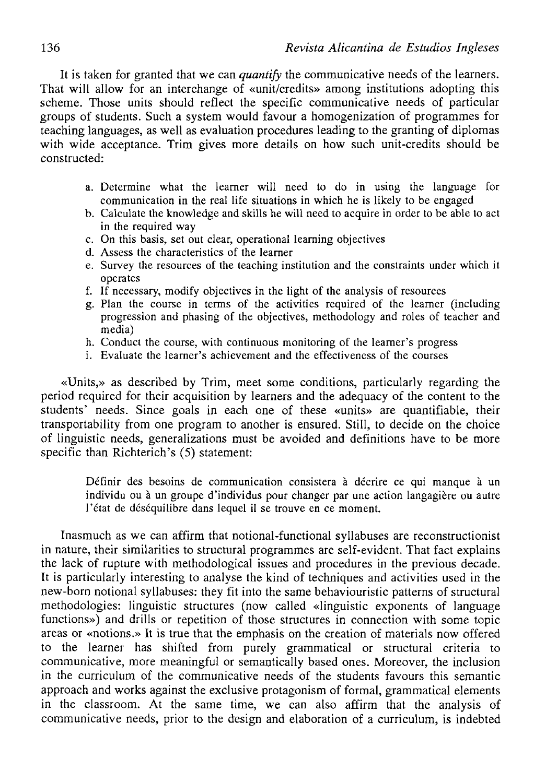It is taken for granted that we can *quantify* the communicative needs of the learners. That will allow for an interchange of «unit/credits» among institutions adopting this scheme. Those units should reflect the specific communicative needs of particular groups of students. Such a system would favour a homogenization of programmes for teaching languages, as well as evaluation procedures leading to the granting of diplomas with wide acceptance. Trim gives more details on how such unit-credits should be constructed:

- a. Determine what the learner will need to do in using the language for communication in the real life situations in which he is likely to be engaged
- b. Calcúlate the knowledge and skills he will need to acquire in order to be able to act in the required way
- c. On this basis, set out clear, operational learning objectives
- d. Assess the characteristícs of the learner
- e. Survey the resources of the teaching institution and the constraints under which it operates
- f. If necessary, modify objectives in the light of the analysis of resources
- g. Plan the course in terms of the activities required of the learner (including progression and phasing of the objectives, methodology and roles of teacher and media)
- h. Conduct the course, with continuous monitoring of the learner's progress
- i. Evalúate the learner's achievement and the effectiveness of the courses

«Units,» as described by Trim, meet some conditions, particularly regarding the period required for their acquisition by learners and the adequacy of the content to the students' needs. Since goals in each one of these «units» are quantifiable, their transportability from one program to another is ensured. Still, to decide on the choice of linguistic needs, generalizations must be avoided and definitions have to be more specific than Richterich's (5) statement:

Definir des besoins de communication consistera á décrire ce qui manque á un individu ou á un groupe d'individus pour changer par une action langagiére ou autre l'état de déséquilibre dans lequel il se trouve en ce moment.

Inasmuch as we can affirm that notional-functional syllabuses are reconstructionist in nature, their similarities to structural programmes are self-evident. That fact explains the lack of rupture with methodological issues and procedures in the previous decade. It is particularly interesting to analyse the kind of techniques and activities used in the new-born notional syllabuses: they fit into the same behaviouristic patterns of structural methodologies: linguistic structures (now called «linguistic exponents of language functions») and drills or repetition of those structures in connection with some topic áreas or «notions.» It is true that the emphasis on the creation of materials now offered to the learner has shifted from purely grammatical or structural criteria to communicative, more meaningful or semantically based ones. Moreover, the inclusión in the curriculum of the communicative needs of the students favours this semantic approach and works against the exclusive protagonism of formal, grammatical elements in the classroom. At the same time, we can also affirm that the analysis of communicative needs, prior to the design and elaboration of a curriculum, is indebted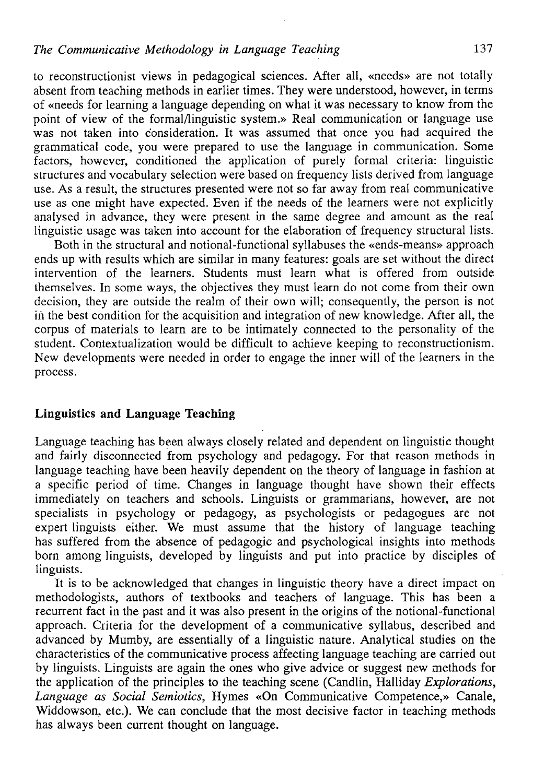to reconstructionist views in pedagogical sciences. After all, «needs» are not totally absent from teaching methods in earlier times. They were understood, however, in terms of «needs for learning a language depending on what it was necessary to know from the point of view of the formal/linguistic system.» Real communication or language use was not taken into c'onsideration. It was assumed that once you had acquired the grammatical code, you were prepared to use the language in communication. Some factors, however, conditioned the application of purely formal criteria: linguistic structures and vocabulary selection were based on frequency lists derived from language use. As a result, the structures presented were not so far away from real communicative use as one might have expected. Even if the needs of the leamers were not explicitly analysed in advance, they were present in the same degree and amount as the real linguistic usage was taken into account for the elaboration of frequency structural lists.

Both in the structural and notional-functional syllabuses the «ends-means» approach ends up with results which are similar in many features: goals are set without the direct intervention of the leamers. Students must learn what is offered from outside themselves. In some ways, the objectives they must learn do not come from their own decisión, they are outside the realm of their own will; consequently, the person is not iñ the best condition for the acquisition and integration of new knowledge. After all, the corpus of materials to learn are to be intimately connected to the personality of the student. Contextualization would be difficult to achieve keeping to reconstructionism. New developments were needed in order to engage the inner will of the learners in the process.

#### **Linguistics and Language Teaching**

Language teaching has been always closely related and dependent on linguistic thought and fairly disconnected from psychology and pedagogy. For that reason methods in language teaching have been heavily dependent on the theory of language in fashion at a specific period of time. Changes in language thought have shown their effects immediately on teachers and schools. Linguists or grammarians, however, are not specialists in psychology or pedagogy, as psychologists or pedagogues are not expert linguists either. We must assume that the history of language teaching has suffered from the absence of pedagogic and psychological insights into methods born among linguists, developed by linguists and put into practice by disciples of linguists.

It is to be acknowledged that changes in linguistic theory have a direct impact on methodologists, authors of textbooks and teachers of language. This has been a recurrent fact in the past and it was also present in the origins of the notional-functional approach. Criteria for the development of a communicative syllabus, described and advanced by Mumby, are essentially of a linguistic nature. Analytical studies on the characteristics of the communicative process affecting language teaching are carried out by linguists. Linguists are again the ones who give advice or suggest new methods for the application of the principies to the teaching scene (Candlin, Halliday *Explorations, Language as Social Semiotics,* Hymes «On Communicative Competence,» Canale, Widdowson, etc.). We can conclude that the most decisive factor in teaching methods has always been current thought on language.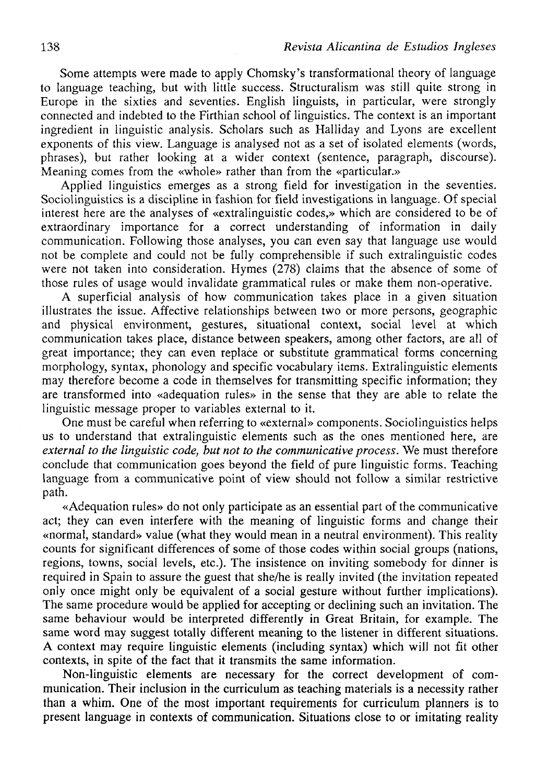Some attempts were made to apply Chomsky's transformational theory of language to language teaching, but with little success. Structuralism was still quite strong in Europe in the sixties and seventies. English linguists, in particular, were strongly connected and indebted to the Firthian school of linguistics. The context is an important ingredient in linguistic analysis. Scholars such as Halliday and Lyons are excellent exponents of this view. Language is analysed not as a set of isolated elements (words, phrases), but rather looking at a wider context (sentence, paragraph, discourse). Meaning comes from the «whole» rather than from the «particular.»

Applied linguistics emerges as a strong field for investigation in the seventies. Sociolinguistics is a discipline in fashion for field investigations in language. Of special interest here are the analyses of «extralinguistic codes,» which are considered to be of extraordinary importance for a correct understanding of information in daily communication. Following those analyses, you can even say that language use would not be complete and could not be fully comprehensible if such extralinguistic codes were not taken into consideration. Hymes (278) claims that the absence of some of those rules of usage would invalídate grammatical rules or make them non-operative.

A superficial analysis of how communication takes place in a given situation illustrates the issue. Affective relationships between two or more persons, geographic and physical environment, gestures, situational context, social level at which communication takes place, distance between speakers, among other factors, are all of great importance; they can even replace or substitute grammatical forms concerning morphology, syntax, phonology and specific vocabulary items. Extralinguistic elements may therefore become a code in themselves for transmitting specific information; they are transformed into «adequation rules» in the sense that they are able to relate the linguistic message proper to variables external to it.

One must be careful when referring to «external» components. Sociolinguistics helps us to understand that extralinguistic elements such as the ones mentioned here, are *external to the linguistic code, but not to the communicative process.* We must therefore conclude that communication goes beyond the field of puré linguistic forms. Teaching language from a communicative point of view should not follow a similar restrictive path.

«Adequation rules» do not only particípate as an essential part of the communicative act; they can even interfere with the meaning of linguistic forms and change their «normal, standard» valué (what they would mean in a neutral environment). This reality counts for significant differences of some of those codes within social groups (nations, regions, towns, social levels, etc.). The insistence on inviting somebody for dinner is required in Spain to assure the guest that she/he is really invited (the invitation repeated only once might only be equivalent of a social gesture without further implications). The same procedure would be applied for accepting or declining such an invitation. The same behaviour would be interpreted differently in Great Britain, for example. The same word may suggest totally different meaning to the listener in different situations. A context may require linguistic elements (including syntax) which will not fit other contexts, in spite of the fact that it transmits the same information.

Non-linguistic elements are necessary for the correct development of communication. Their inclusión in the curriculum as teaching materials is a necessity rather than a whim. One of the most important requirements for curriculum planners is to present language in contexts of communication. Situations close to or imitating reality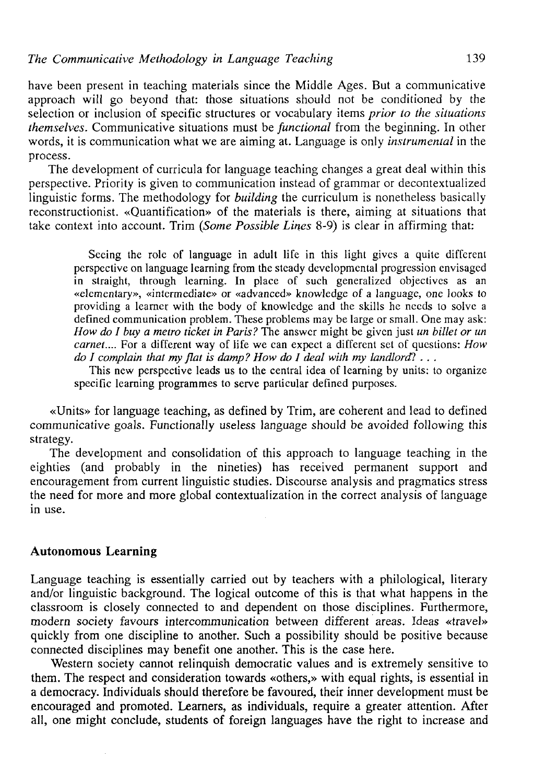have been present in teaching materials since the Middle Ages. But a communicative approach will go beyond that: those situations should not be conditioned by the selection or inclusión of specific structures or vocabulary items *prior to the situations themselves.* Communicative situations must be *functional* from the beginning. In other words, it is communication what we are aiming at. Language is only *instrumental* in the process.

The development of curricula for language teaching changes a great deal within this perspective. Priority is given to communication instead of grammar or decontextualized linguistic forms. The methodology for *building* the curriculum is nonetheless basically reconstructionist. «Quantification» of the materials is there, aiming at situations that take context into account. Trim *(Some Possible Lines* 8-9) is clear in affirming that:

Sceing the role of language in adult life in this light gives a quite diffcrent perspective on language learning from the steady developmental progression envisagcd in straight, through learning. In place of such generalized objectives as an «elcmentary», «intermedíate» or «advanced» knowledge of a language, one looks to providing a learner with the body of knowledge and the skills he necds to solve a defined communication problem. These problems may be large or small. One may ask: *How do I buy a metro ticket in París?* The answcr might be given just *un billet or un carnet....* For a different way of life we can expect a different set of questions: *How do I complain that my flat is damp? How do I deal with my landlord?*  $\ldots$ 

This new perspective leads us to the central idea of learning by units: to organize specific learning programmes to serve particular defined purposes.

«Units» for language teaching, as defined by Trim, are coherent and lead to defined communicative goals. Functionally useless language should be avoided following this strategy.

The development and consolidation of this approach to language teaching in the eighties (and probably in the nineties) has received permanent support and encouragement from current linguistic studies. Discourse analysis and pragmatics stress the need for more and more global contextualization in the correct analysis of language in use.

#### **Autonomous Learning**

Language teaching is essentially carried out by teachers with a philological, literary and/or linguistic background. The logical outcome of this is that what happens in the classroom is closely connected to and dependent on those disciplines. Furthermore, modern society favours intercommunication between different áreas. Ideas «travel» quickly from one discipline to another. Such a possibility should be positive because connected disciplines may benefit one another. This is the case here.

Western society cannot relinquish democratic values and is extremely sensitive to them. The respect and consideration towards «others,» with equal rights, is essential in a democracy. Individuáis should therefore be favoured, their inner development must be encouraged and promoted. Learners, as individuals, require a greater attention. After all, one might conclude, students of foreign languages have the right to increase and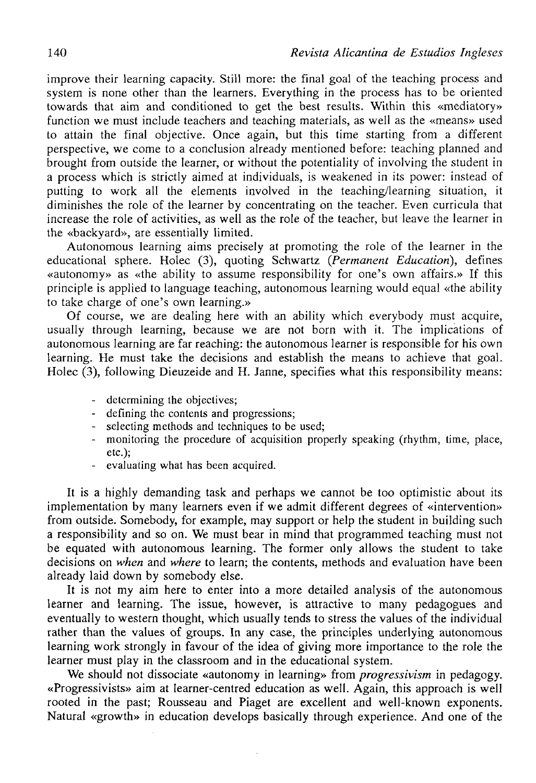improve their learning capacity. Still more: the final goal of the teaching process and system is none other than the learners. Everything in the process has to be oriented towards that aim and conditioned to get the best results. Within this «mediatory» function we must include teachers and teaching materials, as well as the «means» used to attain the final objective. Once again, but this time starting from a different perspective, we come to a conclusión already mentioned before: teaching planned and brought from outside the learner, or without the potentiality of involving the student in a process which is strictly aimed at individuals, is weakened in its power: instead of putting to work all the elements involved in the teaching/learning situation, it diminishes the role of the learner by concentrating on the teacher. Even curricula that increase the role of activities, as well as the role of the teacher, but leave the learner in the «backyard», are essentially limited.

Autonomous learning aims precisely at promoting the role of the learner in the educational sphere. Holec (3), quoting Schwartz *(Permanent Educatiori),* defines «autonomy» as «the ability to assume responsibility for one's own affairs.» If this principie is applied to language teaching, autonomous learning would equal «the ability to take charge of one's own learning.»

Of course, we are dealing here with an ability which everybody must acquire, usually through learning, because we are not born with it. The implications of autonomous learning are far reaching: the autonomous learner is responsible for his own learning. He must take the decisions and establish the means to achieve that goal. Holec (3), following Dieuzeide and H. Janne, specifies what this responsibility means:

- determining the objectives;
- defining the contents and progressions;
- selecting methods and techniques to be used;
- monitoring the procedure of acquisition properly speaking (rhythm, time, place, etc.);
- evaluating what has been acquired.

It is a híghly demanding task and perhaps we cannot be too optimistic about its implementation by many learners even if we admit different degrees of «intervention» from outside. Somebody, for example, may support or help the student in building such a responsibility and so on. We must bear in mind that programmed teaching must not be equated with autonomous learning. The former only allows the student to take decisions on *when* and *where* to learn; the contents, methods and evaluation have been already laid down by somebody else.

It is not my aim here to enter into a more detailed analysis of the autonomous learner and learning. The issue, however, is attractive to many pedagogues and eventually to western thought, which usually tends to stress the values of the individual rather than the values of groups. In any case, the principles underlying autonomous learning work strongly in favour of the idea of giving more importance to the role the learner must play in the classroom and in the educational system.

We should not dissociate «autonomy in learning» from *progressivism* in pedagogy. «Progressivists» aim at learner-centred education as well. Again, this approach is well rooted in the past; Rousseau and Piaget are excellent and well-known exponents. Natural «growth» in education develops basically through experience. And one of the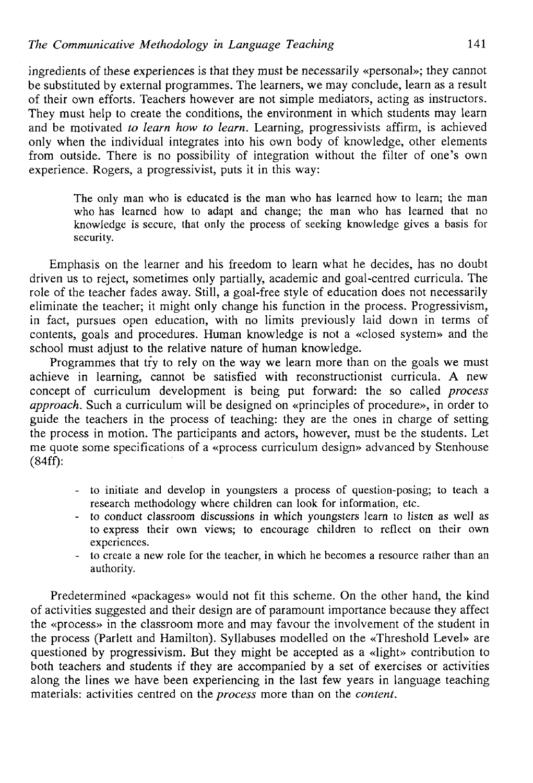ingredients of these experiences is that they must be necessarily «personal»; they cannot be substituted by external programmes. The learners, we may conclude, learn as a result of their own efforts. Teachers however are not simple mediators, acting as instructors. They must help to create the conditions, the environment in which students may learn and be motivated *to learn how to learn.* Learning, progressivists affirm, is achieved only when the individual integrates into his own body of knowledge, other elements from outside. There is no possibility of integration without the filter of one's own experience. Rogers, a progressivist, puts it in this way:

The only man who is educated is the man who has learned how to learn; the man who has learned how to adapt and change; the man who has learned that no knowledge is secure, that only the process of seeking knowledge gives a basis for security.

Emphasis on the learner and his freedom to learn what he decides, has no doubt driven us to reject, sometimes only partially, academic and goal-centred curricula. The role of the teacher fades away. Still, a goal-free style of education does not necessarily elimínate the teacher; it might only change his function in the process. Progressivism, in fact, pursues open education, with no limits previously laid down in terms of contents, goals and procedures. Human knowledge is not a «closed system» and the school must adjust to the relative nature of human knowledge.

Programmes that try to rely on the way we learn more than on the goals we must achieve in learning, cannot be satisfied with reconstructionist curricula. A new concept of curriculum development is being put forward: the so called *process approach.* Such a curriculum will be designed on «principies of procedure», in order to guide the teachers in the process of teaching: they are the ones in charge of setting the process in motion. The participants and actors, however, must be the students. Let me quote some specifications of a «process curriculum design» advanced by Stenhouse (84ff):

- to initiale and develop in youngsters a process of question-posing; to teach a research methodology where children can look for information, etc.
- to conduct classroom discussions in which youngsters learn to listen as well as to express their own views; to encourage children to reflect on their own experiences.
- to create a new role for the teacher, in which he becomes a resource rather than an authority.

Predetermined «packages» would not fit this scheme. On the other hand, the kind of activities suggested and their design are of paramount importance because they affect the «process» in the classroom more and may favour the involvement of the student in the process (Parlett and Hamilton). Syllabuses modelled on the «Threshold Level» are questioned by progressivism. But they might be accepted as a «light» contribution to both teachers and students if they are accompanied by a set of exercises or activities along the lines we have been experiencing in the last few years in language teaching materials: activities centred on the *process* more than on the *contení.*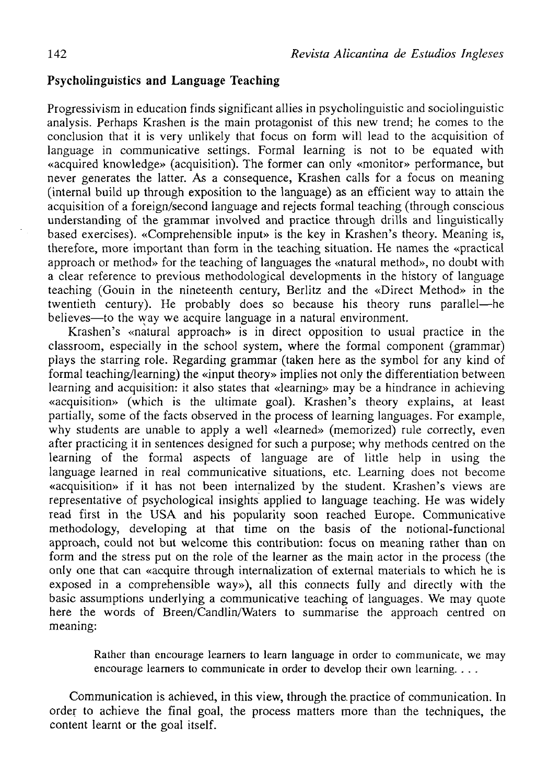# **Psycholinguistics and Language Teaching**

Progressivism in education finds significant allies in psycholinguistic and sociolinguistic analysis. Perhaps Krashen is the main protagonist of this new trend; he comes to the conclusión that it is very unükely that focus on form will lead to the acquisition of language in communicative settings. Formal learning is not to be equated with «acquired knowledge» (acquisition). The former can only «monitor» performance, but never generates the latter. As a consequence, Krashen calis for a focus on meaning (internal build up through exposition to the language) as an efficient way to attain the acquisition of a foreign/second language and rejects formal teaching (through conscious understanding of the grammar involved and practice through drills and linguistically based exercises). «Comprehensible input» is the key in Krashen's theory. Meaning is, therefore, more important than form in the teaching situation. He names the «practical approach or method» for the teaching of languages the «natural method», no doubt with a clear reference to previous methodological developments in the history of language teaching (Gouin in the nineteenth century, Berlitz and the «Direct Method» in the twentieth century). He probably does so because his theory runs parallel—he believes—to the way we acquire language in a natural environment.

Krashen's «natural approach» is in direct opposition to usual practice in the classroom, especially in the school system, where the formal component (grammar) plays the starring role. Regarding grammar (taken here as the symbol for any kind of formal teaching/learning) the «input theory» implies not only the differentiation between learning and acquisition: it also states that «learning» may be a hindrance in achieving «acquisition» (which is the ultímate goal). Krashen's theory explains, at least partially, some of the facts observed in the process of learning languages. For example, why students are unable to apply a well «learned» (memorized) rule correctly, even after practicing it in sentences designed for such a purpose; why methods centred on the learning of the formal aspects of language are of little help in using the language learned in real communicative situations, etc. Learning does not become «acquisition» if it has not been internalized by the student. Krashen's views are representative of psychological insights applied to language teaching. He was widely read first in the USA and his popularity soon reached Europe. Communicative methodology, developing at that time on the basís of the notional-functional approach, could not but welcome this contribution: focus on meaning rather than on form and the stress put on the role of the learner as the main actor in the process (the only one that can «acquire through internalization of external materials to which he is exposed in a comprehensible way»), all this connects fully and directly with the basic assumptions underlying a communicative teaching of languages. We may quote here the words of Breen/Candlin/Waters to summarise the approach centred on meaning:

Rather than encourage learners to learn language in order to communicate, we may encourage learners to communicate in order to develop their own learning. . . .

Communication is achieved, in this view, through the. practice of communication. In order to achieve the final goal, the process matters more than the techniques, the contení learnt or the goal itself.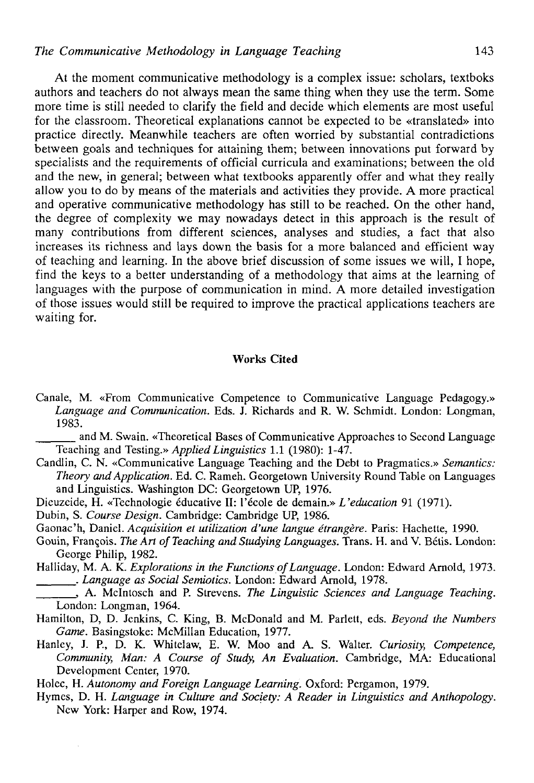At the moment communicative methodology is a complex issue: scholars, textboks authors and teachers do not always mean the same thing when they use the term. Some more time is still needed to clarify the field and decide which elements are most useful for the classroom. Theoretical explanations cannot be expected to be «translated» into practice directly. Meanwhile teachers are often worried by substantial contradictions between goals and techniques for attaining them; between innovations put forward by specialists and the requirements of officíal curricula and examinations; between the oíd and the new, in general; between what textbooks apparently offer and what they really allow you to do by means of the materials and activities they provide. A more practical and operative communicative methodology has still to be reached. On the other hand, the degree of complexity we may nowadays detect in this approach is the result of many contributions from different sciences, analyses and studies, a fact that also increases its richness and lays down the basis for a more balanced and efficient way of teaching and learning. In the above brief discussion of some issues we will, I hope, find the keys to a better understanding of a methodology that aims at the learning of languages with the purpose of communication in mind. A more detailed investigation of those issues would still be required to improve the practical applications teachers are waiting for.

## Works Cited

Canale, M. «From Communicative Competence to Communicative Language Pedagogy.» Language and Communication. Eds. J. Richards and R. W. Schmidt. London: Longman, 1983.

and M. Swain. «Theoretical Bases of Communicative Approaches to Second Language Teaching and Testing.» *Applied Linguistics* 1.1 (1980): 1-47.

- Candlin, C. N. «Communicative Language Teaching and the Debt to Pragmatics.» *Semantics: Theory and Application.* Ed. C. Rameh. Georgetown University Round Table on Languages and Linguistics. Washington DC: Georgetown UP, 1976.
- Dieuzeide, H. «Technologie éducative II: l'école de demain.» *L'education* 91 (1971).

Dubin, S. *Course Design.* Cambridge: Cambridge UP, 1986.

Gaonac'h, Daniel. *Acquisition et utilization d'une langue étrangére.* París: Hachette, 1990.

- Gouin, Frangois. *The Art of Teaching and Studying Languages.* Trans. H. and V. Bétis. London: George Philip, 1982.
- Halliday, M. A. K. *Explorations in the Functions of Language.* London: Edward Arnold, 1973. . *Language as Social Semiotics.* London: Edward Arnold, 1978.
- , A. Mclntosch and P. Strevens. *The Linguistic Sciences and Language Teaching.*  London: Longman, 1964.
- Hamilton, D, D. Jenkins, C. King, B. McDonald and M. Parlett, eds. *Beyond the Numbers Game.* Basingstoke: McMillan Education, 1977.
- Hanley, J. P, D. K. Whitelaw, E. W. Moo and A S. Walter. *Curiosity, Competence, Community, Man: A Course of Study, An Evaluation.* Cambridge, MA: Educational Developmcnt Center, 1970.

Holec, H. *Autonomy and Foreign Language Learning.* Oxford: Pergamon, 1979.

Hymes, D. H. *Language in Culture and Society: A Reader in Linguistics and Anthopology.*  New York: Harper and Row, 1974.